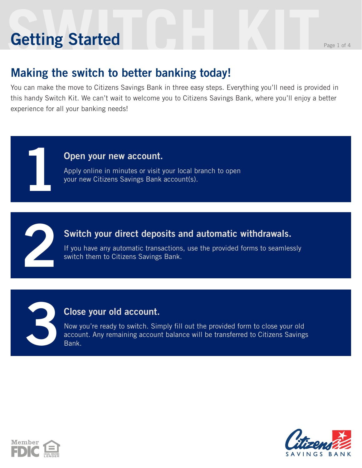# **Setting Started** Reserves the Page 1 of 4 **Getting Started**

**1**

### **Making the switch to better banking today!**

You can make the move to Citizens Savings Bank in three easy steps. Everything you'll need is provided in this handy Switch Kit. We can't wait to welcome you to Citizens Savings Bank, where you'll enjoy a better experience for all your banking needs!

#### **Open your new account.**

Apply online in minutes or visit your local branch to open your new Citizens Savings Bank account(s).



#### **Switch your direct deposits and automatic withdrawals.**

If you have any automatic transactions, use the provided forms to seamlessly switch them to Citizens Savings Bank.

#### **Close your old account.**

Now you're ready to switch. Simply fill out the provided form to close your old account. Any remaining account balance will be transferred to Citizens Savings Bank.





**3**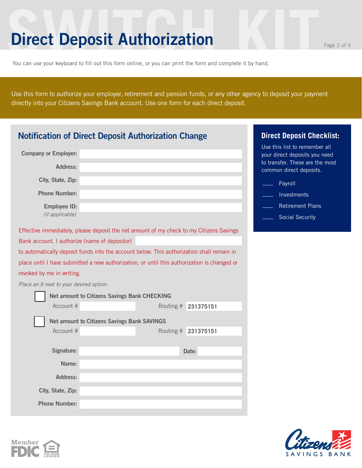### **Direct Deposit Authorization**

You can use your keyboard to fill out this form online, or you can print the form and complete it by hand.

Use this form to authorize your employer, retirement and pension funds, or any other agency to deposit your payment directly into your Citizens Savings Bank account. Use one form for each direct deposit.

| <b>Notification of Direct Deposit Authorization Change</b>                                  | <b>Direct Deposit Checklist:</b>                   |           |           |                                                                |
|---------------------------------------------------------------------------------------------|----------------------------------------------------|-----------|-----------|----------------------------------------------------------------|
| <b>Company or Employer:</b>                                                                 |                                                    |           |           | Use this list to remember all<br>your direct deposits you need |
| <b>Address:</b>                                                                             |                                                    |           |           | to transfer. These are the most<br>common direct deposits.     |
| City, State, Zip:                                                                           |                                                    |           |           | Payroll                                                        |
| <b>Phone Number:</b>                                                                        |                                                    |           |           | Investments                                                    |
| <b>Employee ID:</b>                                                                         |                                                    |           |           | <b>Retirement Plans</b>                                        |
| (if applicable)                                                                             |                                                    |           |           | <b>Social Security</b>                                         |
| Effective immediately, please deposit the net amount of my check to my Citizens Savings     |                                                    |           |           |                                                                |
| Bank account. I authorize (name of depositor)                                               |                                                    |           |           |                                                                |
| to automatically deposit funds into the account below. This authorization shall remain in   |                                                    |           |           |                                                                |
| place until I have submitted a new authorization, or until this authorization is changed or |                                                    |           |           |                                                                |
| revoked by me in writing.                                                                   |                                                    |           |           |                                                                |
| Place an X next to your desired option.                                                     |                                                    |           |           |                                                                |
|                                                                                             | Net amount to Citizens Savings Bank CHECKING       |           |           |                                                                |
| Account #                                                                                   |                                                    | Routing # | 231375151 |                                                                |
|                                                                                             | <b>Net amount to Citizens Savings Bank SAVINGS</b> |           |           |                                                                |
| Account #                                                                                   |                                                    | Routing # | 231375151 |                                                                |
|                                                                                             |                                                    |           |           |                                                                |
| Signature:                                                                                  | Date:                                              |           |           |                                                                |
| Name:                                                                                       |                                                    |           |           |                                                                |
| <b>Address:</b>                                                                             |                                                    |           |           |                                                                |
| City, State, Zip:                                                                           |                                                    |           |           |                                                                |
| <b>Phone Number:</b>                                                                        |                                                    |           |           |                                                                |



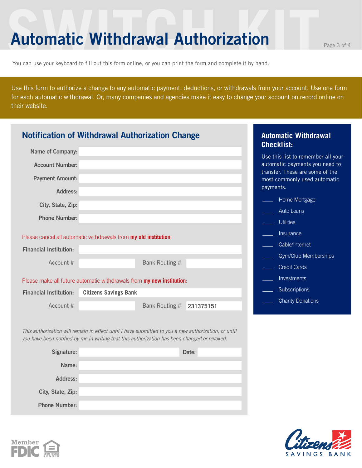### **Automatic Withdrawal Authorization**

You can use your keyboard to fill out this form online, or you can print the form and complete it by hand.

Use this form to authorize a change to any automatic payment, deductions, or withdrawals from your account. Use one form for each automatic withdrawal. Or, many companies and agencies make it easy to change your account on record online on their website.

|                               | <b>Notification of Withdrawal Authorization Change</b>                                                                                                                                               |           | <b>Automatic Withdrawal</b><br><b>Checklist:</b>                             |
|-------------------------------|------------------------------------------------------------------------------------------------------------------------------------------------------------------------------------------------------|-----------|------------------------------------------------------------------------------|
| <b>Name of Company:</b>       |                                                                                                                                                                                                      |           | Use this list to remember all your                                           |
| <b>Account Number:</b>        |                                                                                                                                                                                                      |           | automatic payments you need to                                               |
| <b>Payment Amount:</b>        |                                                                                                                                                                                                      |           | transfer. These are some of the<br>most commonly used automatic<br>payments. |
| Address:                      |                                                                                                                                                                                                      |           | Home Mortgage                                                                |
| City, State, Zip:             |                                                                                                                                                                                                      |           |                                                                              |
| <b>Phone Number:</b>          |                                                                                                                                                                                                      |           | Auto Loans<br><b>Utilities</b>                                               |
|                               | Please cancel all automatic withdrawals from my old institution:                                                                                                                                     |           | <b>Insurance</b>                                                             |
| <b>Financial Institution:</b> |                                                                                                                                                                                                      |           | Cable/Internet                                                               |
|                               |                                                                                                                                                                                                      |           | Gym/Club Memberships                                                         |
| Account #                     | Bank Routing #                                                                                                                                                                                       |           | <b>Credit Cards</b>                                                          |
|                               | Please make all future automatic withdrawals from my new institution:                                                                                                                                |           | Investments                                                                  |
| <b>Financial Institution:</b> | <b>Citizens Savings Bank</b>                                                                                                                                                                         |           | Subscriptions                                                                |
| Account #                     | Bank Routing #                                                                                                                                                                                       | 231375151 | <b>Charity Donations</b>                                                     |
|                               |                                                                                                                                                                                                      |           |                                                                              |
|                               | This authorization will remain in effect until I have submitted to you a new authorization, or until<br>you have been notified by me in writing that this authorization has been changed or revoked. |           |                                                                              |
| Signature:                    |                                                                                                                                                                                                      | Date:     |                                                                              |
| Name:                         |                                                                                                                                                                                                      |           |                                                                              |
| <b>Address:</b>               |                                                                                                                                                                                                      |           |                                                                              |

**Phone Number:**

**City, State, Zip:**